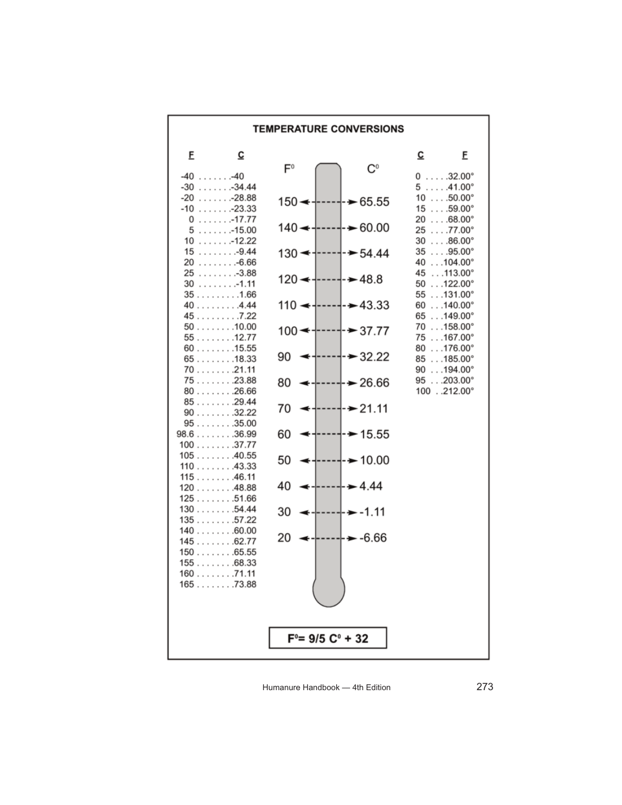| <b>TEMPERATURE CONVERSIONS</b>                                    |         |                           |                                                                      |
|-------------------------------------------------------------------|---------|---------------------------|----------------------------------------------------------------------|
| E<br>$\overline{c}$                                               |         |                           | E<br>$\overline{c}$                                                  |
| $-40$ $-40$                                                       | $F^0$   | $\mathsf{C}^\mathfrak{o}$ | 0<br>$\ldots$ .32.00 $^{\circ}$                                      |
| $-30$<br>$\ldots \ldots$ -34.44                                   |         |                           | $\ldots$ .41.00 $^{\circ}$<br>5                                      |
| $\ldots \ldots$ 28.88<br>$-20$                                    | $150 -$ | 65.55                     | $\ldots$ .50.00 $^{\circ}$<br>10                                     |
| $-10$<br>$\ldots \ldots$ -23.33                                   |         |                           | $\ldots$ .59.00 $^{\circ}$<br>15                                     |
| $\ldots \ldots \ldots$ -17.77<br>0<br>5<br>$\ldots \ldots$ -15.00 | $140 -$ | 60.00                     | 20<br>$\ldots$ .68.00 $^{\circ}$<br>25<br>$\ldots$ .77.00 $^{\circ}$ |
| $\ldots \ldots$ -12.22<br>10                                      |         |                           | 30<br>$\ldots$ .86.00 $^{\circ}$                                     |
| 15<br>. -9.44                                                     | 130     | 54.44                     | 35<br>$\ldots$ .95.00 $^{\circ}$                                     |
| 20<br>. -6.66                                                     |         |                           | 40<br>$.104.00^{\circ}$                                              |
| 25<br>. -3.88                                                     | $120 -$ | 48.8                      | 45<br>.113.00°                                                       |
| $\ldots \ldots \ldots -1.11$<br>30<br>$35$ 1.66                   |         |                           | 50<br>$.122.00^{\circ}$<br>55<br>.131.00°                            |
| $40$ 4.44                                                         | 110     | 43.33                     | 60<br>$.140.00^{\circ}$                                              |
| 45. 7.22                                                          |         |                           | 65<br>$\ldots$ 149.00 $^{\circ}$                                     |
| $50$ 10.00                                                        | 100     | 37.77                     | 70<br>$.158.00^{\circ}$                                              |
| $55$ $12.77$<br>$60$ 15.55                                        |         |                           | 75<br>$\ldots$ 167.00 $^\circ$<br>$.176.00^{\circ}$<br>80            |
| 6518.33                                                           | 90      | 32.22                     | 85<br>$.185.00^{\circ}$                                              |
| 7021.11                                                           |         |                           | $\ldots$ 194.00 $^\circ$<br>90                                       |
| $75$ .23.88                                                       | 80      | 26.66                     | 95<br>$\ldots$ .203.00 $^{\circ}$                                    |
| $80$ . 26.66<br>$85$ .29.44                                       |         |                           | 100 .212.00°                                                         |
| $90$ . 32.22                                                      | 70      | 21.11                     |                                                                      |
| $95$ . 35.00                                                      |         |                           |                                                                      |
| $98.6$ .36.99                                                     | 60      | 15.55                     |                                                                      |
| 10037.77                                                          |         |                           |                                                                      |
| 10540.55<br>$110$ . 43.33                                         | 50      | 10.00                     |                                                                      |
| 11546.11                                                          |         |                           |                                                                      |
| 12048.88                                                          | 40      | 4.44                      |                                                                      |
| 12551.66                                                          |         |                           |                                                                      |
| 13054.44<br>13557.22                                              | 30      | 1.11                      |                                                                      |
| 14060.00                                                          |         |                           |                                                                      |
| $145$ . 62.77                                                     | 20      | -6.66                     |                                                                      |
| $150$ 65.55                                                       |         |                           |                                                                      |
| 15568.33                                                          |         |                           |                                                                      |
| 16071.11<br>$165$ . 73.88                                         |         |                           |                                                                      |
|                                                                   |         |                           |                                                                      |
|                                                                   |         |                           |                                                                      |
|                                                                   |         |                           |                                                                      |
| $F^0 = 9/5 C^0 + 32$                                              |         |                           |                                                                      |
|                                                                   |         |                           |                                                                      |

Humanure Handbook — 4th Edition 273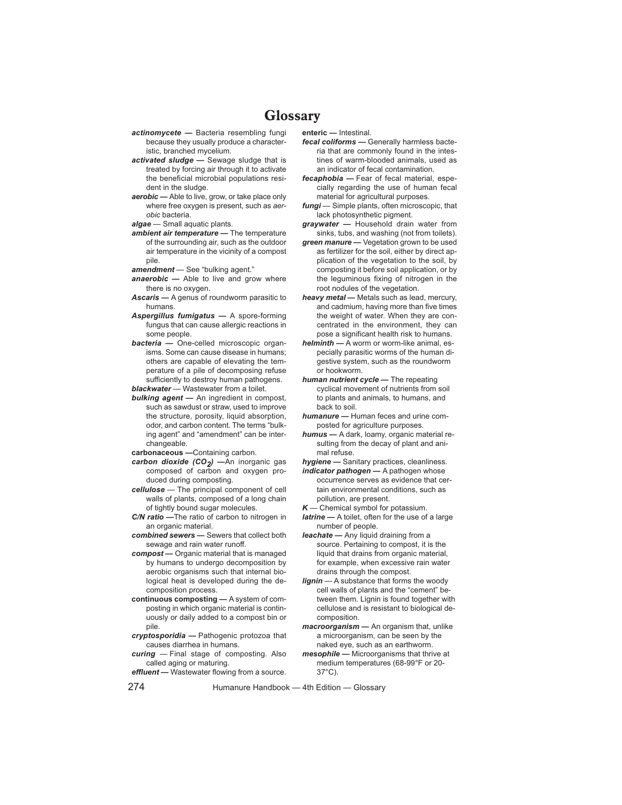## **Glossary**

- *actinomycete* Bacteria resembling fungi because they usually produce a characteristic, branched mycelium.
- *activated sludge* Sewage sludge that is treated by forcing air through it to activate the beneficial microbial populations resident in the sludge.
- *aerobic* Able to live, grow, or take place only where free oxygen is present, such as *aerobic* bacteria.
- *algae* Small aquatic plants.
- *ambient air temperature* The temperature of the surrounding air, such as the outdoor air temperature in the vicinity of a compost pile.
- *amendment* See "bulking agent."
- *anaerobic* Able to live and grow where there is no oxygen.
- *Ascaris* A genus of roundworm parasitic to humans.
- *Aspergillus fumigatus* A spore-forming fungus that can cause allergic reactions in some people.
- *bacteria* One-celled microscopic organisms. Some can cause disease in humans; others are capable of elevating the temperature of a pile of decomposing refuse sufficiently to destroy human pathogens. *blackwater* — Wastewater from a toilet.
- *bulking agent* An ingredient in compost, such as sawdust or straw, used to improve the structure, porosity, liquid absorption, odor, and carbon content. The terms "bulking agent" and "amendment" can be interchangeable.
- **carbonaceous —**Containing carbon.
- carbon dioxide (CO<sub>2</sub>) An inorganic gas composed of carbon and oxygen produced during composting.
- *cellulose* — The principal component of cell walls of plants, composed of a long chain of tightly bound sugar molecules.
- *C/N ratio —*The ratio of carbon to nitrogen in an organic material.
- *combined sewers —*Sewers that collect both sewage and rain water runoff.
- *compost —*Organic material that is managed by humans to undergo decomposition by aerobic organisms such that internal biological heat is developed during the decomposition process.
- **continuous composting —**A system of composting in which organic material is continuously or daily added to a compost bin or pile.
- *cryptosporidia —*Pathogenic protozoa that causes diarrhea in humans.
- *curing* — Final stage of composting. Also called aging or maturing.
- **effluent** Wastewater flowing from a source.

- **enteric —**Intestinal. *fecal coliforms —*Generally harmless bacteria that are commonly found in the intestines of warm-blooded animals, used as an indicator of fecal contamination.
- *fecaphobia —*Fear of fecal material, especially regarding the use of human fecal material for agricultural purposes.
- *fungi* — Simple plants, often microscopic, that lack photosynthetic pigment.
- *graywater* Household drain water from sinks, tubs, and washing (not from toilets).
- *green manure —*Vegetation grown to be used as fertilizer for the soil, either by direct application of the vegetation to the soil, by composting it before soil application, or by the leguminous fixing of nitrogen in the root nodules of the vegetation.
- *heavy metal* Metals such as lead, mercury, and cadmium, having more than five times the weight of water. When they are concentrated in the environment, they can pose a significant health risk to humans.
- *helminth* A worm or worm-like animal, especially parasitic worms of the human digestive system, such as the roundworm or hookworm.
- *human nutrient cycle* The repeating cyclical movement of nutrients from soil to plants and animals, to humans, and back to soil.
- *humanure* Human feces and urine composted for agriculture purposes.
- *humus —*A dark, loamy, organic material resulting from the decay of plant and animal refuse.
- *hygiene* Sanitary practices, cleanliness.
- *indicator pathogen* A pathogen whose occurrence serves as evidence that certain environmental conditions, such as pollution, are present.
- *K* Chemical symbol for potassium.
- *latrine* A toilet, often for the use of a large number of people.
- *leachate* Any liquid draining from a source. Pertaining to compost, it is the liquid that drains from organic material, for example, when excessive rain water drains through the compost.
- *lignin* A substance that forms the woody cell walls of plants and the "cement" between them. Lignin is found together with cellulose and is resistant to biological decomposition.
- *macroorganism* An organism that, unlike a microorganism, can be seen by the naked eye, such as an earthworm.
- *mesophile*Microorganisms that thrive at medium temperatures (68-99°F or 20- 37°C).

274 Humanure Handbook — 4th Edition — Glossary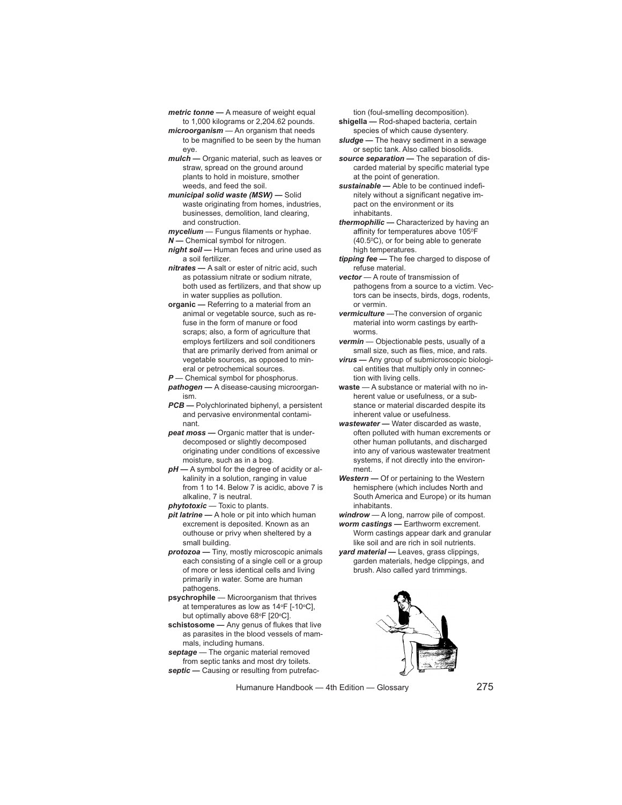*metric tonne —* A measure of weight equal to 1,000 kilograms or 2,204.62 pounds.

*microorganism* — An organism that needs to be magnified to be seen by the human eye.

*mulch —* Organic material, such as leaves or straw, spread on the ground around plants to hold in moisture, smother weeds, and feed the soil.

- *municipal solid waste (MSW)* Solid waste originating from homes, industries, businesses, demolition, land clearing, and construction.
- *mycelium* Fungus filaments or hyphae.
- *N* Chemical symbol for nitrogen.
- *night soil* Human feces and urine used as a soil fertilizer.
- *nitrates* A salt or ester of nitric acid, such as potassium nitrate or sodium nitrate both used as fertilizers, and that show up in water supplies as pollution.
- **organic** Referring to a material from an animal or vegetable source, such as refuse in the form of manure or food scraps; also, a form of agriculture that employs fertilizers and soil conditioners that are primarily derived from animal or vegetable sources, as opposed to mineral or petrochemical sources.

*P* — Chemical symbol for phosphorus. *pathogen —* A disease-causing microorganism.

- *PCB —*Polychlorinated biphenyl, a persistent and pervasive environmental contaminant.
- *peat moss* Organic matter that is underdecomposed or slightly decomposed originating under conditions of excessive moisture, such as in a bog.
- *pH* A symbol for the degree of acidity or alkalinity in a solution, ranging in value from 1 to 14. Below 7 is acidic, above 7 is alkaline, 7 is neutral.
- *phytotoxic* Toxic to plants.
- *pit latrine* A hole or pit into which human excrement is deposited. Known as an outhouse or privy when sheltered by a small building.

*protozoa —* Tiny, mostly microscopic animals each consisting of a single cell or a group of more or less identical cells and living primarily in water. Some are human pathogens.

- **psychrophile** Microorganism that thrives at temperatures as low as  $14^{\circ}$ F [-10 $^{\circ}$ C], but optimally above 68°F [20°C].
- **schistosome** Any genus of flukes that live as parasites in the blood vessels of mammals, including humans.

*septage* — The organic material removed from septic tanks and most dry toilets. *septic —* Causing or resulting from putrefac-

Humanure Handbook — 4th Edition — Glossary 275

tion (foul-smelling decomposition). **shigella —** Rod-shaped bacteria, certain

species of which cause dysentery. *sludge —* The heavy sediment in a sewage

- or septic tank. Also called biosolids. *source separation —* The separation of dis-
- carded material by specific material type at the point of generation.
- *sustainable* Able to be continued indefinitely without a significant negative impact on the environment or its inhabitants.
- *thermophilic* Characterized by having an affinity for temperatures above 105°F (40.50C), or for being able to generate high temperatures.
- *tipping fee* The fee charged to dispose of refuse material.
- *vector* A route of transmission of pathogens from a source to a victim. Vectors can be insects, birds, dogs, rodents, or vermin.
- *vermiculture* —The conversion of organic material into worm castings by earthworms.
- *vermin* Objectionable pests, usually of a small size, such as flies, mice, and rats.
- *virus* Any group of submicroscopic biological entities that multiply only in connection with living cells.
- **waste** A substance or material with no inherent value or usefulness, or a substance or material discarded despite its inherent value or usefulness.
- *wastewater* Water discarded as waste, often polluted with human excrements or other human pollutants, and discharged into any of various wastewater treatment systems, if not directly into the environment.
- *Western* Of or pertaining to the Western hemisphere (which includes North and South America and Europe) or its human inhabitants.
- *windrow* A long, narrow pile of compost.
- *worm castings* Earthworm excrement. Worm castings appear dark and granular like soil and are rich in soil nutrients.
- *yard material* Leaves, grass clippings, garden materials, hedge clippings, and brush. Also called yard trimmings.